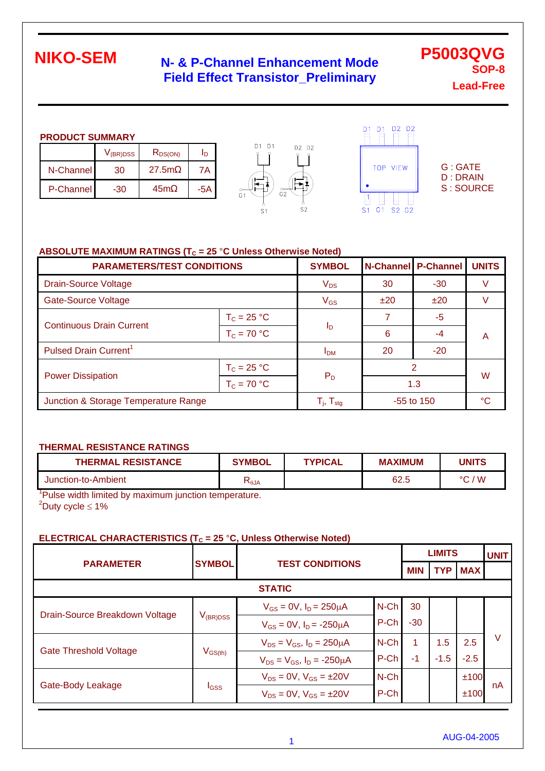## **N- & P-Channel Enhancement Mode Field Effect Transistor\_Preliminary**

**P5003QVG SOP-8 Lead-Free**

#### **PRODUCT SUMMARY**

|           | $V_{\rm(BR)DSS}$ | $R_{DS(ON)}$ |     |
|-----------|------------------|--------------|-----|
| N-Channel | 30               | 27.5m        | 7Α  |
| P-Channel | -30              | 45m          | -5A |





G : GATE D : DRAIN S : SOURCE

### **ABSOLUTE MAXIMUM RATINGS (T<sub>C</sub> = 25 °C Unless Otherwise Noted)**

| <b>PARAMETERS/TEST CONDITIONS</b>    | <b>SYMBOL</b>                                         | N-Channel P-Channel |       | <b>UNITS</b> |   |  |
|--------------------------------------|-------------------------------------------------------|---------------------|-------|--------------|---|--|
| <b>Drain-Source Voltage</b>          | $V_{DS}$                                              | 30                  | $-30$ |              |   |  |
| <b>Gate-Source Voltage</b>           | $V_{GS}$                                              | ±20                 | ±20   |              |   |  |
| <b>Continuous Drain Current</b>      | $T_c = 25 °C$                                         |                     |       | $-5$         | A |  |
|                                      | $T_c = 70 °C$                                         | $I_{\mathsf{D}}$    | 6     | $-4$         |   |  |
| Pulsed Drain Current <sup>1</sup>    | <b>I<sub>DM</sub></b>                                 | 20                  | $-20$ |              |   |  |
| $T_c = 25 °C$                        |                                                       |                     | 2     | W            |   |  |
| <b>Power Dissipation</b>             | $T_c = 70 °C$                                         | $P_D$               | 1.3   |              |   |  |
| Junction & Storage Temperature Range | $\mathsf{T}_{\mathsf{i}},\,\mathsf{T}_{\mathsf{stg}}$ | $-55$ to 150        |       | °C           |   |  |

#### **THERMAL RESISTANCE RATINGS**

| <b>THERMAL RESISTANCE</b> | <b>SYMBOL</b>          | <b>TYPICAL</b> | <b>MAXIMUM</b> | UNITS         |
|---------------------------|------------------------|----------------|----------------|---------------|
| Junction-to-Ambient       | $\mathsf{N}_\theta$ JA |                | 62.5           | ' W<br>$\sim$ |

<sup>1</sup>Pulse width limited by maximum junction temperature.  $2^2$ Duty cycle  $\leq 1\%$ 

### **ELECTRICAL CHARACTERISTICS (T<sub>C</sub> = 25 °C, Unless Otherwise Noted)**

|                                |                                         |                                        |         | <b>LIMITS</b> |        |                | <b>UNIT</b> |
|--------------------------------|-----------------------------------------|----------------------------------------|---------|---------------|--------|----------------|-------------|
| <b>PARAMETER</b>               | <b>SYMBOL</b><br><b>TEST CONDITIONS</b> |                                        |         | <b>MIN</b>    |        | <b>TYP MAX</b> |             |
| <b>STATIC</b>                  |                                         |                                        |         |               |        |                |             |
| Drain-Source Breakdown Voltage |                                         | $V_{GS} = 0V$ , $I_D = 250 \mu A$      | $N$ -Ch | 30            |        |                |             |
|                                | V <sub>(BR)DSS</sub>                    | $V_{GS} = 0V$ , $I_D = -250 \mu A$     | P-Ch    | $-30$         |        |                |             |
| <b>Gate Threshold Voltage</b>  | $\mathsf{V}_{\mathsf{GS}(\mathsf{th})}$ | $V_{DS} = V_{GS}$ , $I_D = 250 \mu A$  | $N$ -Ch | 1             | 1.5    | 2.5            | $\vee$      |
|                                |                                         | $V_{DS} = V_{GS}$ , $I_D = -250 \mu A$ | P-Ch    | -1            | $-1.5$ | $-2.5$         |             |
| Gate-Body Leakage              | <b>I</b> GSS                            | $V_{DS} = 0V$ , $V_{GS} = \pm 20V$     | $N$ -Ch |               |        | ±100           |             |
|                                |                                         | $V_{DS} = 0V$ , $V_{GS} = \pm 20V$     | P-Ch    |               |        | ±100           | nA          |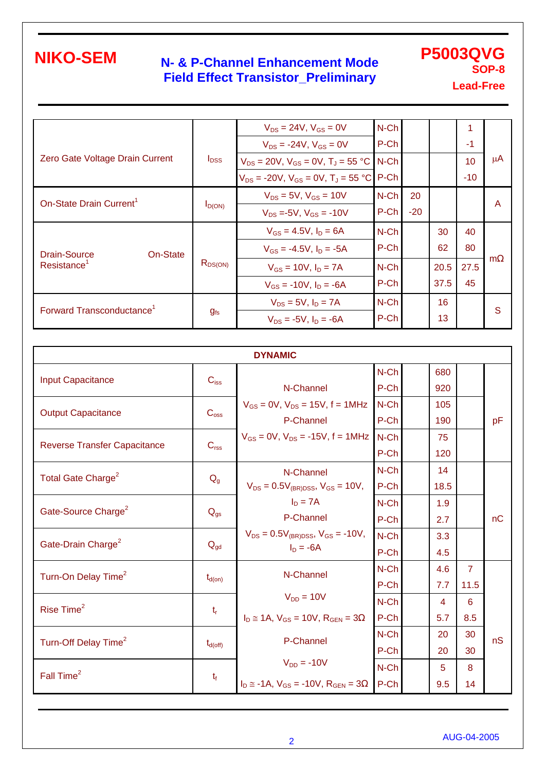Forward Transconductance<sup>1</sup>

### **N- & P-Channel Enhancement Mode Field Effect Transistor\_Preliminary**

**P5003QVG SOP-8 Lead-Free**

 $V_{DS} = 24V$ ,  $V_{GS} = 0V$  $V_{DS}$  = -24V,  $V_{GS}$  = 0V N-Ch N-Ch 1<br>P-Ch 1 -1 Zero Gate Voltage Drain Current  $V_{\text{DSS}} = 20V$ ,  $V_{\text{GS}} = 0V$ ,  $T_J = 55 \text{ °C}$  $V_{DS}$  = -20V,  $V_{GS}$  = 0V,  $T_J$  = 55 °C N-Ch N-Ch 10<br>P-Ch -10 -10 µA  $V_{DS} = 5V$ ,  $V_{GS} = 10V$ On-State Drain Current<sup>1</sup>  $I_{D(ON)}$  $V_{DS} = -5V$ ,  $V_{GS} = -10V$ N-Ch P-Ch 20 -20 A  $V_{GS} = 4.5V$ ,  $I_D = 6A$  $V_{GS} = -4.5V, I_D = -5A$ N-Ch P-Ch 30 62 40 80  $V_{GS} = 10V, I_D = 7A$ Drain-Source On-State  $R_{DS(ON)}$ <br> $R_{DS(ON)}$  $V_{GS} = -10V$ ,  $I_D = -6A$ N-Ch P-Ch 20.5 37.5 27.5 45 m  $V_{DS} = 5V$ ,  $I_D = 7A$ N-Ch 16 S

 $V_{DS} = -5V$ ,  $I_D = -6A$ 

P-Ch

13

**g**fs

| <b>DYNAMIC</b>                      |                     |                                                     |         |  |      |                |    |  |  |
|-------------------------------------|---------------------|-----------------------------------------------------|---------|--|------|----------------|----|--|--|
| <b>Input Capacitance</b>            |                     |                                                     | N-Ch    |  | 680  |                |    |  |  |
|                                     | $C_{iss}$           | N-Channel                                           | P-Ch    |  | 920  |                |    |  |  |
|                                     |                     | $V_{GS} = 0V$ , $V_{DS} = 15V$ , $f = 1MHz$         | N-Ch    |  | 105  |                |    |  |  |
| <b>Output Capacitance</b>           | C <sub>oss</sub>    | P-Channel                                           | P-Ch    |  | 190  |                | pF |  |  |
|                                     |                     | $V_{GS} = 0V$ , $V_{DS} = -15V$ , $f = 1MHz$        | $N$ -Ch |  | 75   |                |    |  |  |
| <b>Reverse Transfer Capacitance</b> | C <sub>rss</sub>    |                                                     | P-Ch    |  | 120  |                |    |  |  |
|                                     |                     | N-Channel                                           | N-Ch    |  | 14   |                |    |  |  |
| Total Gate Charge <sup>2</sup>      | $Q_{g}$             | $V_{DS} = 0.5V_{(BR)DSS}$ , $V_{GS} = 10V$ ,        | P-Ch    |  | 18.5 |                |    |  |  |
|                                     |                     | $I_D = 7A$                                          | N-Ch    |  | 1.9  |                |    |  |  |
| Gate-Source Charge <sup>2</sup>     | $Q_{gs}$            | P-Channel                                           | P-Ch    |  | 2.7  |                | nC |  |  |
|                                     |                     | $V_{DS} = 0.5V_{(BR)DSS}$ , $V_{GS} = -10V$ ,       | N-Ch    |  | 3.3  |                |    |  |  |
| Gate-Drain Charge <sup>2</sup>      | $Q_{gd}$            | $I_D = -6A$                                         | P-Ch    |  | 4.5  |                |    |  |  |
|                                     | $t_{d(on)}$         | N-Channel                                           | N-Ch    |  | 4.6  | $\overline{7}$ |    |  |  |
| Turn-On Delay Time <sup>2</sup>     |                     |                                                     | P-Ch    |  | 7.7  | 11.5           |    |  |  |
| Rise Time <sup>2</sup>              |                     | $V_{DD} = 10V$                                      | $N$ -Ch |  | 4    | 6              |    |  |  |
|                                     | $t_{\rm r}$         | $I_D \approx 1A$ , $V_{GS} = 10V$ , $R_{GEN} = 3$   | P-Ch    |  | 5.7  | 8.5            |    |  |  |
|                                     |                     | P-Channel                                           | $N$ -Ch |  | 20   | 30             | nS |  |  |
| Turn-Off Delay Time <sup>2</sup>    | $t_{d(\text{off})}$ |                                                     | P-Ch    |  | 20   | 30             |    |  |  |
|                                     |                     | $V_{DD} = -10V$                                     | $N$ -Ch |  | 5    | 8              |    |  |  |
| Fall Time <sup>2</sup>              | $t_f$               | $I_D \approx -1A$ , $V_{GS} = -10V$ , $R_{GFN} = 3$ | P-Ch    |  | 9.5  | 14             |    |  |  |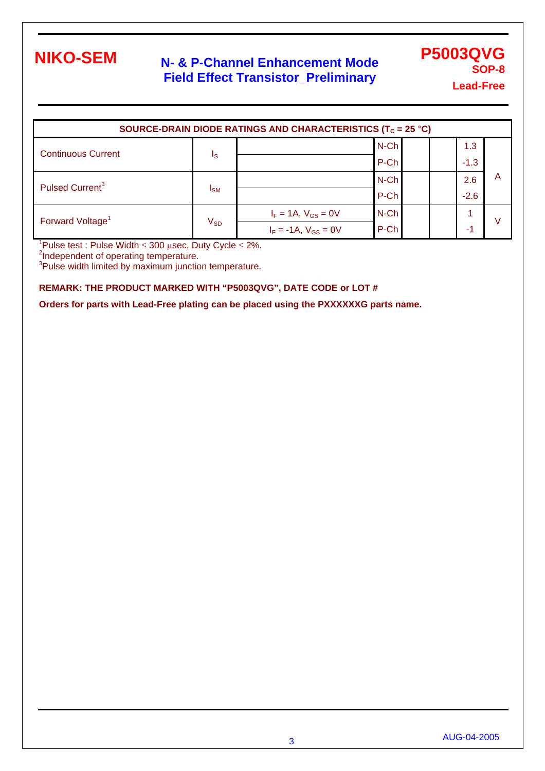### **N- & P-Channel Enhancement Mode Field Effect Transistor\_Preliminary**

**P5003QVG SOP-8 Lead-Free**

| SOURCE-DRAIN DIODE RATINGS AND CHARACTERISTICS (T <sub>C</sub> = 25 °C) |                            |                             |         |  |  |        |   |  |
|-------------------------------------------------------------------------|----------------------------|-----------------------------|---------|--|--|--------|---|--|
| <b>Continuous Current</b>                                               |                            |                             | $N$ -Ch |  |  | 1.3    |   |  |
|                                                                         | Is                         |                             | P-Ch    |  |  | $-1.3$ |   |  |
| Pulsed Current <sup>3</sup>                                             | <b>I</b> <sub>SM</sub>     |                             | $N$ -Ch |  |  | 2.6    | A |  |
|                                                                         |                            |                             | P-Ch    |  |  | $-2.6$ |   |  |
| Forward Voltage <sup>1</sup>                                            | $\mathsf{V}_{\mathsf{SD}}$ | $I_F = 1A$ , $V_{GS} = 0V$  | N-Ch    |  |  |        | ν |  |
|                                                                         |                            | $I_F = -1A$ , $V_{GS} = 0V$ | P-Ch    |  |  | -1     |   |  |

 $1$ Pulse test : Pulse Width  $\leq 300$  usec, Duty Cycle  $\leq 2\%$ .

<sup>2</sup>Independent of operating temperature.<br><sup>3</sup>Pulse width limited by maximum junction temperature.

#### **REMARK: THE PRODUCT MARKED WITH "P5003QVG", DATE CODE or LOT #**

**Orders for parts with Lead-Free plating can be placed using the PXXXXXXG parts name.**